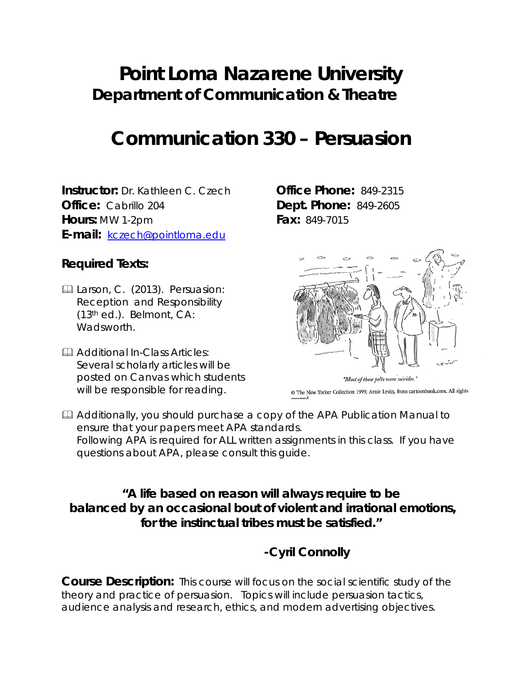# **Point Loma Nazarene University Department of Communication & Theatre**

# **Communication 330 – Persuasion**

**Instructor:** Dr. Kathleen C. Czech **Office Phone:** 849-2315 **Office:** Cabrillo 204 **Dept. Phone:** 849-2605 **Hours:** MW 1-2pm **Fax:** 849-7015 **E-mail:** [kczech@pointloma.edu](mailto:kczech@pointloma.edu)

#### **Required Texts:**

- Larson, C. (2013). *Persuasion: Reception and Responsibility (13*th ed.). Belmont, CA: Wadsworth.
- **Additional In-Class Articles:** Several scholarly articles will be posted on Canvas which students will be responsible for reading.



@ The New Yorker Collection 1999, Arnie Levin, from cartoonbank.com. All rights

**Additionally, you should purchase a copy of the APA Publication Manual to** ensure that your papers meet APA standards. Following APA is required for ALL written assignments in this class. If you have questions about APA, please consult this guide.

#### **"A life based on reason will always require to be balanced by an occasional bout of violent and irrational emotions, for the instinctual tribes must be satisfied."**

**-Cyril Connolly**

**Course Description:** This course will focus on the social scientific study of the theory and practice of persuasion. Topics will include persuasion tactics, audience analysis and research, ethics, and modern advertising objectives.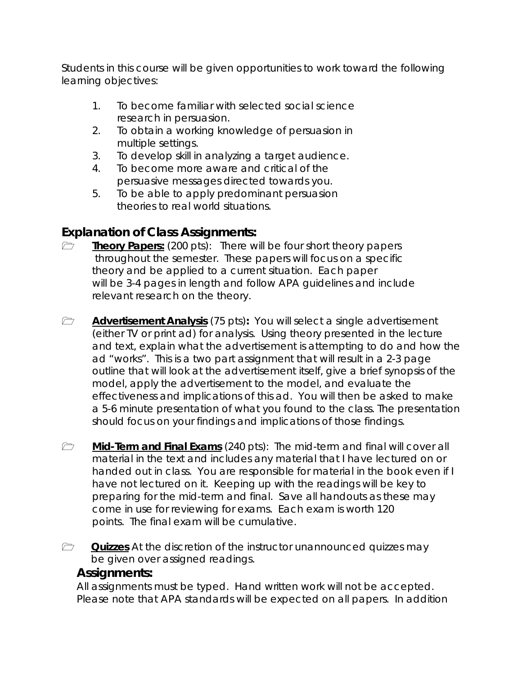Students in this course will be given opportunities to work toward the following learning objectives:

- 1. To become familiar with selected social science research in persuasion.
- 2. To obtain a working knowledge of persuasion in multiple settings.
- 3. To develop skill in analyzing a target audience.
- 4. To become more aware and critical of the persuasive messages directed towards you.
- 5. To be able to apply predominant persuasion theories to real world situations.

### **Explanation of Class Assignments:**

- **Theory Papers:** (200 pts): There will be four short theory papers throughout the semester. These papers will focus on a specific theory and be applied to a current situation. Each paper will be 3-4 pages in length and follow APA guidelines and include relevant research on the theory.
- **Advertisement Analysis** (75 pts): You will select a single advertisement (either TV or print ad) for analysis. Using theory presented in the lecture and text, explain what the advertisement is attempting to do and how the ad "works". This is a two part assignment that will result in a 2-3 page outline that will look at the advertisement itself, give a brief synopsis of the model, apply the advertisement to the model, and evaluate the effectiveness and implications of this ad. You will then be asked to make a 5-6 minute presentation of what you found to the class. The presentation should focus on your findings and implications of those findings.
- **The Mid-Term and Final Exams** (240 pts): The mid-term and final will cover all material in the text and includes any material that I have lectured on or handed out in class. You are responsible for material in the book even if I have not lectured on it. Keeping up with the readings will be key to preparing for the mid-term and final. Save all handouts as these may come in use for reviewing for exams. Each exam is worth 120 points. The final exam will be cumulative.
- *m* Quizzes At the discretion of the instructor unannounced quizzes may be given over assigned readings.

#### **Assignments:**

All assignments must be typed. Hand written work will not be accepted. Please note that APA standards will be expected on all papers. In addition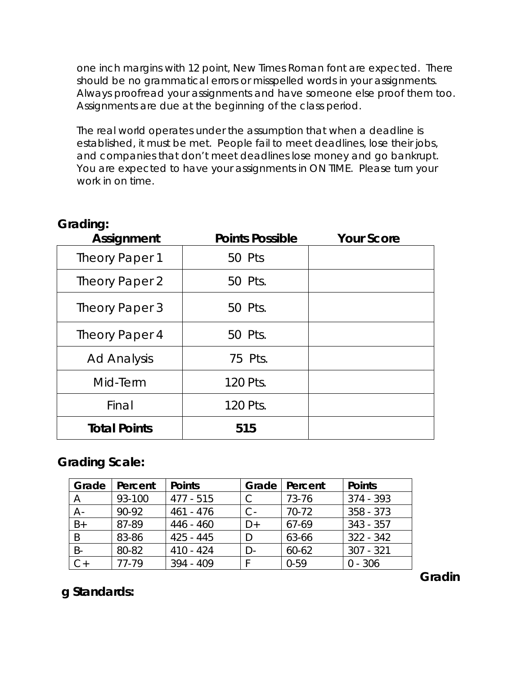one inch margins with 12 point, New Times Roman font are expected. There should be no grammatical errors or misspelled words in your assignments. Always proofread your assignments and have someone else proof them too. Assignments are due at the beginning of the class period.

The real world operates under the assumption that when a deadline is established, it must be met. People fail to meet deadlines, lose their jobs, and companies that don't meet deadlines lose money and go bankrupt. You are expected to have your assignments in ON TIME. Please turn your work in on time.

#### **Grading:**

| <b>Assignment</b>   | <b>Points Possible</b> | <b>Your Score</b> |
|---------------------|------------------------|-------------------|
| Theory Paper 1      | 50 Pts                 |                   |
| Theory Paper 2      | 50 Pts.                |                   |
| Theory Paper 3      | 50 Pts.                |                   |
| Theory Paper 4      | 50 Pts.                |                   |
| <b>Ad Analysis</b>  | 75 Pts.                |                   |
| Mid-Term            | 120 Pts.               |                   |
| Final               | 120 Pts.               |                   |
| <b>Total Points</b> | 515                    |                   |

#### **Grading Scale:**

| Grade | Percent | <b>Points</b> | Grade | Percent   | <b>Points</b> |
|-------|---------|---------------|-------|-----------|---------------|
|       | 93-100  | $477 - 515$   |       | 73-76     | $374 - 393$   |
| $A -$ | 90-92   | 461 - 476     | С-    | $70-72$   | $358 - 373$   |
| $B+$  | 87-89   | $446 - 460$   | D+    | 67-69     | $343 - 357$   |
| B     | 83-86   | $425 - 445$   |       | 63-66     | $322 - 342$   |
| $B -$ | 80-82   | $410 - 424$   |       | $60 - 62$ | $307 - 321$   |
| $C+$  | 77-79   | $394 - 409$   |       | $0 - 59$  | $0 - 306$     |

**g Standards:**

**Gradin**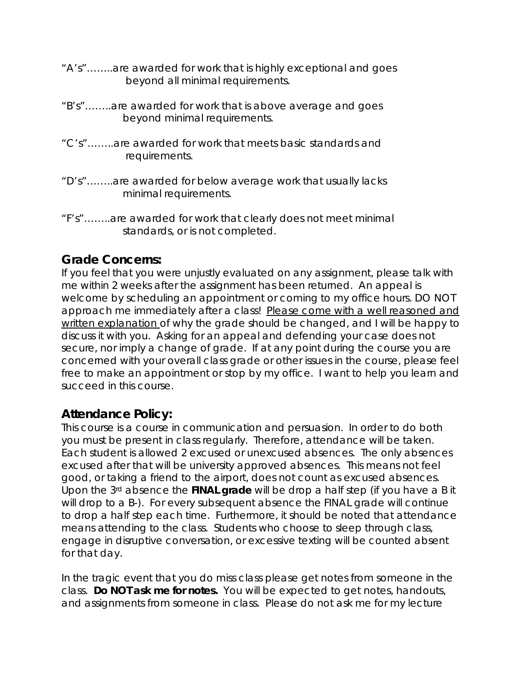- "A's"……..are awarded for work that is highly exceptional and goes beyond all minimal requirements.
- "B's"……..are awarded for work that is above average and goes beyond minimal requirements.
- "C's"……..are awarded for work that meets basic standards and requirements.
- "D's"……..are awarded for below average work that usually lacks minimal requirements.
- "F's"……..are awarded for work that clearly does not meet minimal standards, or is not completed.

#### **Grade Concerns:**

If you feel that you were unjustly evaluated on any assignment, please talk with me within 2 weeks after the assignment has been returned. An appeal is welcome by scheduling an appointment or coming to my office hours. DO NOT approach me immediately after a class! Please come with a well reasoned and written explanation of why the grade should be changed, and I will be happy to discuss it with you. Asking for an appeal and defending your case does not secure, nor imply a change of grade. If at any point during the course you are concerned with your overall class grade or other issues in the course, please feel free to make an appointment or stop by my office. I want to help you learn and succeed in this course.

#### **Attendance Policy:**

This course is a course in communication and persuasion. In order to do both you must be present in class regularly. Therefore, attendance will be taken. Each student is allowed 2 excused or unexcused absences. The only absences excused after that will be university approved absences. This means not feel good, or taking a friend to the airport, does not count as excused absences. Upon the 3rd absence the **FINAL grade** will be drop a half step (if you have a B it will drop to a B-). For every subsequent absence the FINAL grade will continue to drop a half step each time. Furthermore, it should be noted that attendance means attending to the class. Students who choose to sleep through class, engage in disruptive conversation, or excessive texting will be counted absent for that day.

In the tragic event that you do miss class please get notes from someone in the class. **Do NOT ask me for notes.** You will be expected to get notes, handouts, and assignments from someone in class. Please do not ask me for my lecture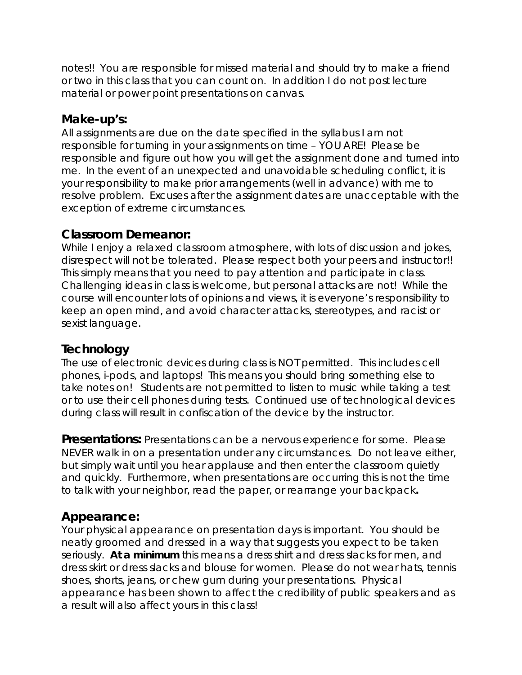notes!! You are responsible for missed material and should try to make a friend or two in this class that you can count on. In addition I do not post lecture material or power point presentations on canvas.

#### **Make-up's:**

All assignments are due on the date specified in the syllabus I am not responsible for turning in your assignments on time – YOU ARE! Please be responsible and figure out how you will get the assignment done and turned into me. In the event of an unexpected and unavoidable scheduling conflict, it is your responsibility to make prior arrangements (well in advance) with me to resolve problem. Excuses after the assignment dates are unacceptable with the exception of extreme circumstances.

#### **Classroom Demeanor:**

While I enjoy a relaxed classroom atmosphere, with lots of discussion and jokes, disrespect will not be tolerated. Please respect both your peers and instructor!! This simply means that you need to pay attention and participate in class. Challenging ideas in class is welcome, but personal attacks are not! While the course will encounter lots of opinions and views, it is everyone's responsibility to keep an open mind, and avoid character attacks, stereotypes, and racist or sexist language.

#### **Technology**

The use of electronic devices during class is NOT permitted. This includes cell phones, i-pods, and laptops! This means you should bring something else to take notes on! Students are not permitted to listen to music while taking a test or to use their cell phones during tests. Continued use of technological devices during class will result in confiscation of the device by the instructor.

**Presentations:** Presentations can be a nervous experience for some. Please NEVER walk in on a presentation under any circumstances. Do not leave either, but simply wait until you hear applause and then enter the classroom quietly and quickly. Furthermore, when presentations are occurring this is not the time to talk with your neighbor, read the paper, or rearrange your backpack**.** 

#### **Appearance:**

Your physical appearance on presentation days is important. You should be neatly groomed and dressed in a way that suggests you expect to be taken seriously. **At a minimum** this means a dress shirt and dress slacks for men, and dress skirt or dress slacks and blouse for women. Please do not wear hats, tennis shoes, shorts, jeans, or chew gum during your presentations. Physical appearance has been shown to affect the credibility of public speakers and as a result will also affect yours in this class!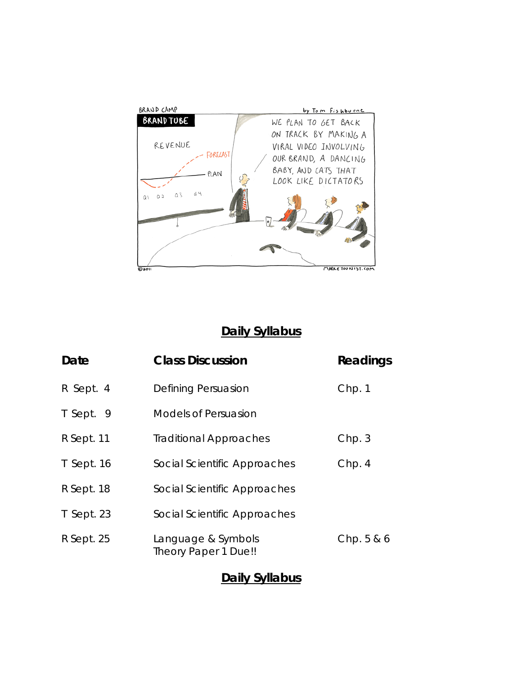

## **Daily Syllabus**

| Date       | <b>Class Discussion</b>                    | Readings |
|------------|--------------------------------------------|----------|
| R Sept. 4  | Defining Persuasion                        | Chp. 1   |
| T Sept. 9  | Models of Persuasion                       |          |
| R Sept. 11 | <b>Traditional Approaches</b>              | Chp.3    |
| T Sept. 16 | Social Scientific Approaches               | Chp.4    |
| R Sept. 18 | Social Scientific Approaches               |          |
| T Sept. 23 | Social Scientific Approaches               |          |
| R Sept. 25 | Language & Symbols<br>Theory Paper 1 Due!! | Chp.5&6  |

### **Daily Syllabus**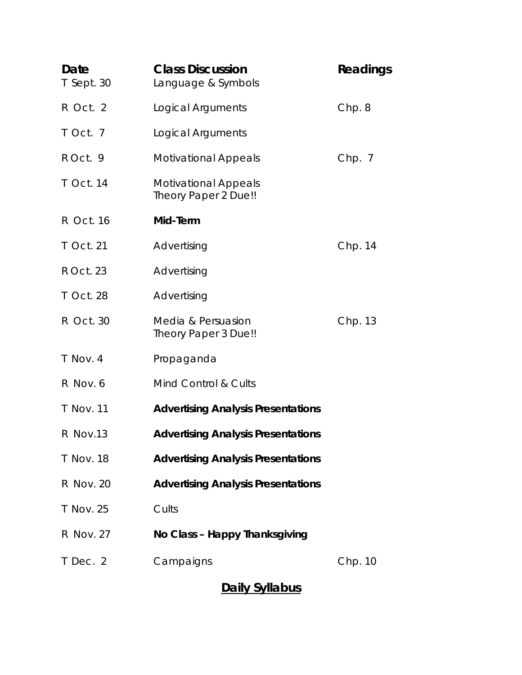| Date<br>T Sept. 30 | <b>Class Discussion</b><br>Language & Symbols       | Readings |
|--------------------|-----------------------------------------------------|----------|
| R Oct. 2           | Logical Arguments                                   | Chp.8    |
| T Oct. 7           | Logical Arguments                                   |          |
| R Oct. 9           | <b>Motivational Appeals</b>                         | Chp. 7   |
| T Oct. 14          | <b>Motivational Appeals</b><br>Theory Paper 2 Due!! |          |
| R Oct. 16          | Mid-Term                                            |          |
| T Oct. 21          | Advertising                                         | Chp. 14  |
| R Oct. 23          | Advertising                                         |          |
| T Oct. 28          | Advertising                                         |          |
| <b>R</b> Oct. 30   | Media & Persuasion<br>Theory Paper 3 Due!!          | Chp. 13  |
| T Nov. 4           | Propaganda                                          |          |
| R Nov. 6           | Mind Control & Cults                                |          |
| <b>T</b> Nov. 11   | <b>Advertising Analysis Presentations</b>           |          |
| R Nov.13           | <b>Advertising Analysis Presentations</b>           |          |
| T Nov. 18          | <b>Advertising Analysis Presentations</b>           |          |
| R Nov. 20          | <b>Advertising Analysis Presentations</b>           |          |
| T Nov. 25          | Cults                                               |          |
| R Nov. 27          | No Class - Happy Thanksgiving                       |          |
| T Dec. 2           | Campaigns                                           | Chp. 10  |

# **Daily Syllabus**